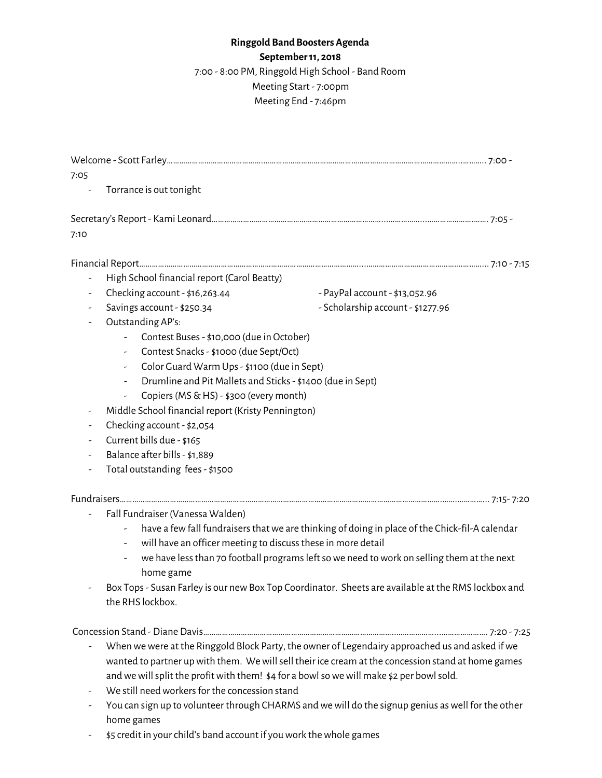## **Ringgold Band Boosters Agenda**

**September11, 2018**

7:00 - 8:00 PM, Ringgold High School - Band Room

Meeting Start - 7:00pm Meeting End - 7:46pm

Welcome - Scott Farley……………………………………….…………………………………………………………………………………..……….. 7:00 - 7:05 Torrance is out tonight Secretary's Report - Kami Leonard………………………………………………………………………...……………...………………….……. 7:05 - 7:10 Financial Report……………………………………………………………………………………………...…………………………………….…………... 7:10 - 7:15 - High School financial report (Carol Beatty) - Checking account - \$16,263.44 - PayPal account - \$13,052.96 - Savings account - \$250.34 - Scholarship account - \$1277.96 - Outstanding AP's: - Contest Buses- \$10,000 (due in October) - Contest Snacks- \$1000 (due Sept/Oct) - Color Guard Warm Ups- \$1100 (due in Sept) - Drumline and Pit Mallets and Sticks- \$1400 (due in Sept) - Copiers (MS  $\&$  HS) - \$300 (every month) - Middle School financial report (Kristy Pennington) - Checking account - \$2,054 - Current bills due - \$165 - Balance after bills- \$1,889 - Total outstanding fees- \$1500 Fundraisers……………………………………………………………………………………………………………………………………….…….…………... 7:15- 7:20 - Fall Fundraiser (Vanessa Walden) have a few fall fundraisers that we are thinking of doing in place of the Chick-fil-A calendar - will have an officer meeting to discussthese in more detail - we have lessthan 70 football programsleftsowe need towork on selling them at the next home game - Box Tops - Susan Farley is our new Box Top Coordinator. Sheets are available at the RMS lockbox and the RHS lockbox. Concession Stand - Diane Davis………………………………………………………………………………..………………...…………………. 7:20 - 7:25 - When we were at the Ringgold Block Party, the owner of Legendairy approached us and asked if we wanted to partner up with them. We will sell their ice cream at the concession stand at home games and we will split the profit with them! \$4 for a bowl so we will make \$2 per bowl sold.

- We still need workers for the concession stand
- You can sign up to volunteer through CHARMS andwewill do the signup genius aswell for the other home games
- \$5 credit in your child's band account if you work the whole games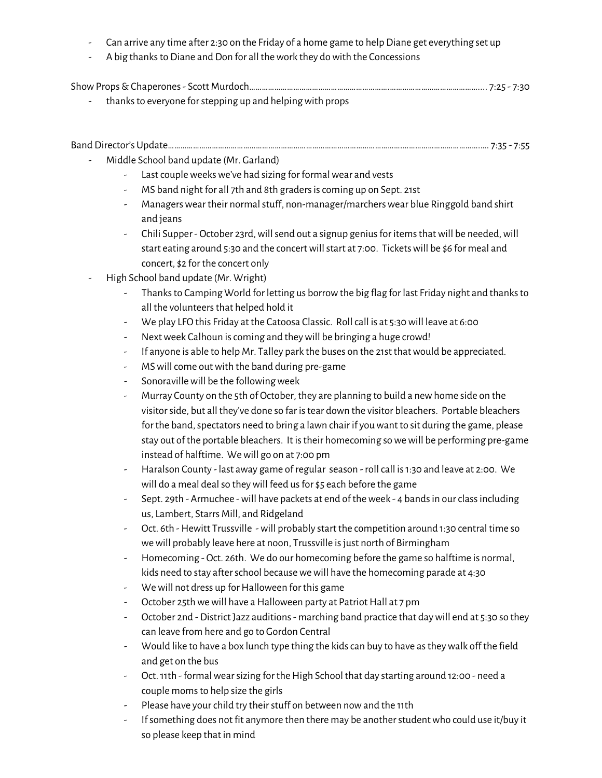- Can arrive any time after 2:30 on the Friday of a home game to help Diane get everything set up
- A big thanks to Diane and Don for all the work they do with the Concessions

|--|--|--|--|--|

- thanks to everyone for stepping up and helping with props

| Band Director's Update | , , , , , |  |  |
|------------------------|-----------|--|--|
|------------------------|-----------|--|--|

- Middle School band update (Mr. Garland)
	- Last couple weeks we've had sizing for formal wear and vests
	- MS band night for all 7th and 8th graders is coming up on Sept. 21st
	- Managers wear their normal stuff, non-manager/marchers wear blue Ringgold band shirt and jeans
	- Chili Supper October 23rd, will send out a signup genius for items that will be needed, will start eating around 5:30 and the concert will start at 7:00. Tickets will be \$6 for meal and concert, \$2 for the concert only
- High School band update (Mr. Wright)
	- Thanksto Camping World for letting us borrowthe big flag for last Friday night and thanksto all the volunteers that helped hold it
	- We play LFO this Friday at the Catoosa Classic. Rollcall is at 5:30will leave at 6:00
	- Next week Calhoun is coming and they will be bringing a huge crowd!
	- If anyone is able to help Mr. Talley park the buses on the 21st that would be appreciated.
	- MS will come out with the band during pre-game
	- Sonoraville will be the following week
	- Murray County on the 5th of October, they are planning to build a newhome side on the visitorside, but all they've done so far istear down the visitor bleachers. Portable bleachers for the band, spectators need to bring a lawn chair if you want to sit during the game, please stay out of the portable bleachers. It is their homecoming so we will be performing pre-game instead of halftime. Wewill go on at 7:00 pm
	- Haralson County last away game of regular season rollcall is1:30 and leave at 2:00. We will do a meal deal so they will feed us for \$5 each before the game
	- Sept. 29th Armuchee will have packets at end of the week 4 bands in our class including us, Lambert, Starrs Mill, and Ridgeland
	- Oct. 6th Hewitt Trussville will probably start the competition around 1:30 central time so we will probably leave here at noon, Trussville is just north of Birmingham
	- Homecoming Oct. 26th. We do our homecoming before the game so halftime is normal, kids need to stay after school because we will have the homecoming parade at 4:30
	- We will not dress up for Halloween for this game
	- October 25th we will have a Halloween party at Patriot Hall at 7 pm
	- October 2nd District Jazz auditions- marching band practice that daywill end at 5:30 so they can leave from here and go to Gordon Central
	- Would like to have a box lunch type thing the kidscan buy to have astheywalk off the field and get on the bus
	- Oct. 11th formal wear sizing for the High School that day starting around 12:00 need a couple momsto help size the girls
	- Please have your child try their stuff on between now and the 11th
	- Ifsomething does not fit anymore then there may be anotherstudentwho could use it/buy it so please keep that in mind